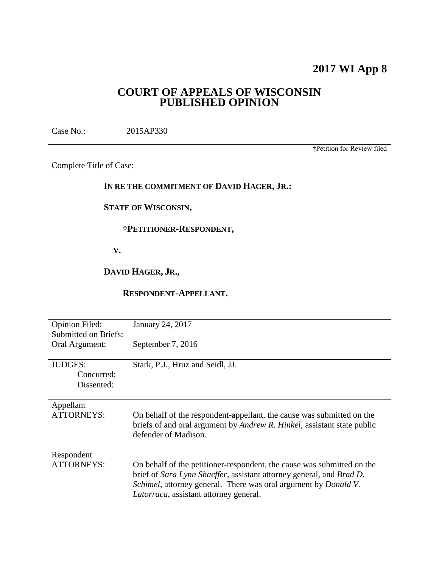## **2017 WI App 8**

## **COURT OF APPEALS OF WISCONSIN PUBLISHED OPINION**

Case No.: 2015AP330

†Petition for Review filed

Complete Title of Case:

#### **IN RE THE COMMITMENT OF DAVID HAGER, JR.:**

#### **STATE OF WISCONSIN,**

#### **†PETITIONER-RESPONDENT,**

 **V.**

#### **DAVID HAGER, JR.,**

#### **RESPONDENT-APPELLANT.**

| <b>Opinion Filed:</b>       | January 24, 2017                                                                |
|-----------------------------|---------------------------------------------------------------------------------|
| <b>Submitted on Briefs:</b> |                                                                                 |
|                             |                                                                                 |
| Oral Argument:              | September 7, 2016                                                               |
|                             |                                                                                 |
| <b>JUDGES:</b>              | Stark, P.J., Hruz and Seidl, JJ.                                                |
| Concurred:                  |                                                                                 |
| Dissented:                  |                                                                                 |
|                             |                                                                                 |
| Appellant                   |                                                                                 |
|                             |                                                                                 |
| <b>ATTORNEYS:</b>           | On behalf of the respondent-appellant, the cause was submitted on the           |
|                             | briefs of and oral argument by <i>Andrew R. Hinkel</i> , assistant state public |
|                             | defender of Madison.                                                            |
|                             |                                                                                 |
| Respondent                  |                                                                                 |
| <b>ATTORNEYS:</b>           | On behalf of the petitioner-respondent, the cause was submitted on the          |
|                             | brief of Sara Lynn Shaeffer, assistant attorney general, and Brad D.            |
|                             |                                                                                 |
|                             | Schimel, attorney general. There was oral argument by Donald V.                 |
|                             | <i>Latorraca</i> , assistant attorney general.                                  |
|                             |                                                                                 |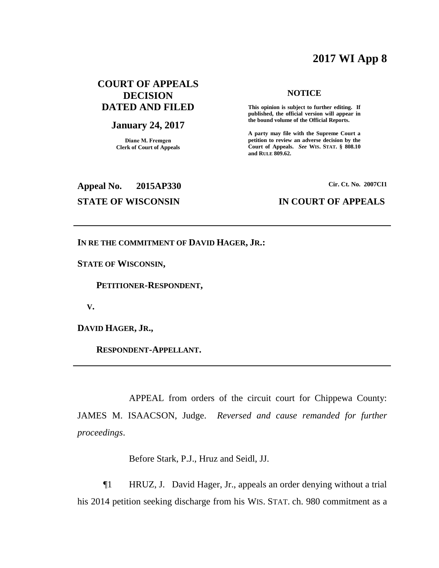## **2017 WI App 8**

### **COURT OF APPEALS DECISION DATED AND FILED**

#### **January 24, 2017**

**Diane M. Fremgen Clerk of Court of Appeals**

#### **NOTICE**

**This opinion is subject to further editing. If published, the official version will appear in the bound volume of the Official Reports.** 

**A party may file with the Supreme Court a petition to review an adverse decision by the Court of Appeals.** *See* **WIS. STAT. § 808.10 and RULE 809.62.** 

# **Appeal No. 2015AP330 Cir. Ct. No. 2007CI1**

#### **STATE OF WISCONSIN IN COURT OF APPEALS**

**IN RE THE COMMITMENT OF DAVID HAGER, JR.:**

**STATE OF WISCONSIN,**

 **PETITIONER-RESPONDENT,**

 **V.**

**DAVID HAGER, JR.,**

 **RESPONDENT-APPELLANT.**

APPEAL from orders of the circuit court for Chippewa County: JAMES M. ISAACSON, Judge. *Reversed and cause remanded for further proceedings*.

Before Stark, P.J., Hruz and Seidl, JJ.

¶1 HRUZ, J. David Hager, Jr., appeals an order denying without a trial his 2014 petition seeking discharge from his WIS. STAT. ch. 980 commitment as a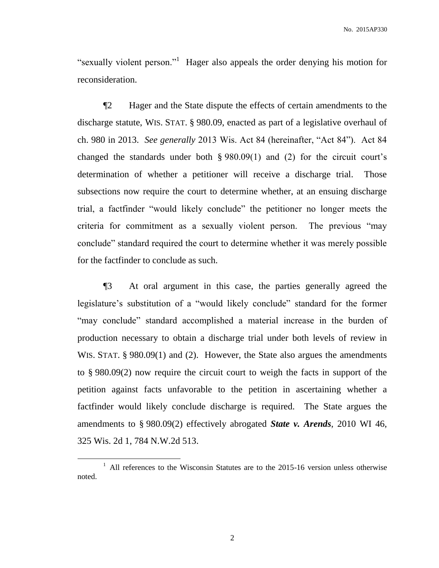"sexually violent person."<sup>1</sup> Hager also appeals the order denying his motion for reconsideration.

¶2 Hager and the State dispute the effects of certain amendments to the discharge statute, WIS. STAT. § 980.09, enacted as part of a legislative overhaul of ch. 980 in 2013. *See generally* 2013 Wis. Act 84 (hereinafter, "Act 84"). Act 84 changed the standards under both § 980.09(1) and (2) for the circuit court's determination of whether a petitioner will receive a discharge trial. Those subsections now require the court to determine whether, at an ensuing discharge trial, a factfinder "would likely conclude" the petitioner no longer meets the criteria for commitment as a sexually violent person. The previous "may conclude" standard required the court to determine whether it was merely possible for the factfinder to conclude as such.

¶3 At oral argument in this case, the parties generally agreed the legislature's substitution of a "would likely conclude" standard for the former "may conclude" standard accomplished a material increase in the burden of production necessary to obtain a discharge trial under both levels of review in WIS. STAT. § 980.09(1) and (2). However, the State also argues the amendments to § 980.09(2) now require the circuit court to weigh the facts in support of the petition against facts unfavorable to the petition in ascertaining whether a factfinder would likely conclude discharge is required. The State argues the amendments to § 980.09(2) effectively abrogated *State v. Arends*, 2010 WI 46, 325 Wis. 2d 1, 784 N.W.2d 513.

 $\overline{a}$ 

<sup>&</sup>lt;sup>1</sup> All references to the Wisconsin Statutes are to the 2015-16 version unless otherwise noted.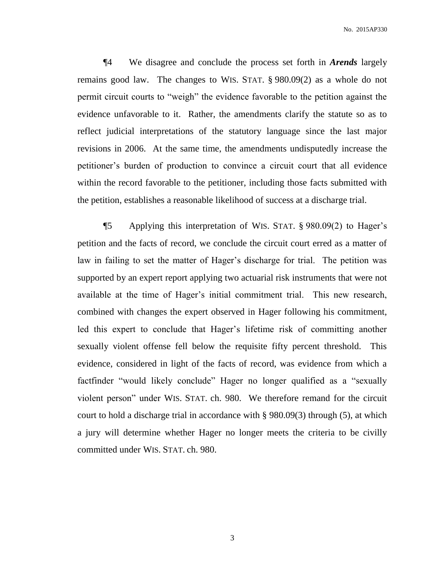¶4 We disagree and conclude the process set forth in *Arends* largely remains good law. The changes to WIS. STAT. § 980.09(2) as a whole do not permit circuit courts to "weigh" the evidence favorable to the petition against the evidence unfavorable to it. Rather, the amendments clarify the statute so as to reflect judicial interpretations of the statutory language since the last major revisions in 2006. At the same time, the amendments undisputedly increase the petitioner's burden of production to convince a circuit court that all evidence within the record favorable to the petitioner, including those facts submitted with the petition, establishes a reasonable likelihood of success at a discharge trial.

¶5 Applying this interpretation of WIS. STAT. § 980.09(2) to Hager's petition and the facts of record, we conclude the circuit court erred as a matter of law in failing to set the matter of Hager's discharge for trial. The petition was supported by an expert report applying two actuarial risk instruments that were not available at the time of Hager's initial commitment trial. This new research, combined with changes the expert observed in Hager following his commitment, led this expert to conclude that Hager's lifetime risk of committing another sexually violent offense fell below the requisite fifty percent threshold. This evidence, considered in light of the facts of record, was evidence from which a factfinder "would likely conclude" Hager no longer qualified as a "sexually violent person" under WIS. STAT. ch. 980. We therefore remand for the circuit court to hold a discharge trial in accordance with § 980.09(3) through (5), at which a jury will determine whether Hager no longer meets the criteria to be civilly committed under WIS. STAT. ch. 980.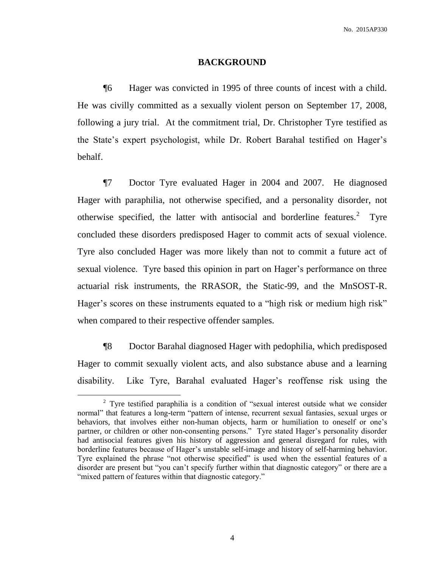#### **BACKGROUND**

¶6 Hager was convicted in 1995 of three counts of incest with a child. He was civilly committed as a sexually violent person on September 17, 2008, following a jury trial. At the commitment trial, Dr. Christopher Tyre testified as the State's expert psychologist, while Dr. Robert Barahal testified on Hager's behalf.

¶7 Doctor Tyre evaluated Hager in 2004 and 2007. He diagnosed Hager with paraphilia, not otherwise specified, and a personality disorder, not otherwise specified, the latter with antisocial and borderline features.<sup>2</sup> Tyre concluded these disorders predisposed Hager to commit acts of sexual violence. Tyre also concluded Hager was more likely than not to commit a future act of sexual violence. Tyre based this opinion in part on Hager's performance on three actuarial risk instruments, the RRASOR, the Static-99, and the MnSOST-R. Hager's scores on these instruments equated to a "high risk or medium high risk" when compared to their respective offender samples.

¶8 Doctor Barahal diagnosed Hager with pedophilia, which predisposed Hager to commit sexually violent acts, and also substance abuse and a learning disability. Like Tyre, Barahal evaluated Hager's reoffense risk using the

<sup>&</sup>lt;sup>2</sup> Tyre testified paraphilia is a condition of "sexual interest outside what we consider normal" that features a long-term "pattern of intense, recurrent sexual fantasies, sexual urges or behaviors, that involves either non-human objects, harm or humiliation to oneself or one's partner, or children or other non-consenting persons." Tyre stated Hager's personality disorder had antisocial features given his history of aggression and general disregard for rules, with borderline features because of Hager's unstable self-image and history of self-harming behavior. Tyre explained the phrase "not otherwise specified" is used when the essential features of a disorder are present but "you can't specify further within that diagnostic category" or there are a "mixed pattern of features within that diagnostic category."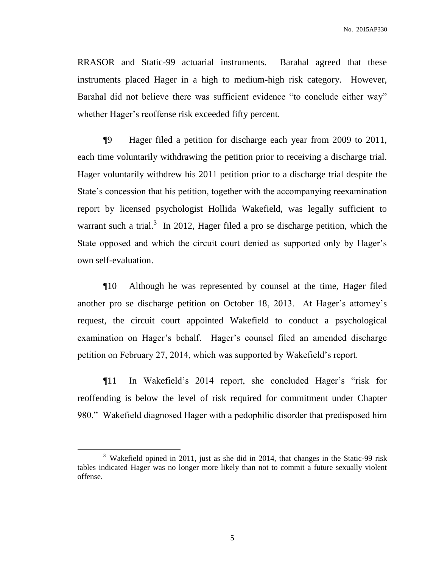RRASOR and Static-99 actuarial instruments. Barahal agreed that these instruments placed Hager in a high to medium-high risk category. However, Barahal did not believe there was sufficient evidence "to conclude either way" whether Hager's reoffense risk exceeded fifty percent.

¶9 Hager filed a petition for discharge each year from 2009 to 2011, each time voluntarily withdrawing the petition prior to receiving a discharge trial. Hager voluntarily withdrew his 2011 petition prior to a discharge trial despite the State's concession that his petition, together with the accompanying reexamination report by licensed psychologist Hollida Wakefield, was legally sufficient to warrant such a trial.<sup>3</sup> In 2012, Hager filed a pro se discharge petition, which the State opposed and which the circuit court denied as supported only by Hager's own self-evaluation.

¶10 Although he was represented by counsel at the time, Hager filed another pro se discharge petition on October 18, 2013. At Hager's attorney's request, the circuit court appointed Wakefield to conduct a psychological examination on Hager's behalf. Hager's counsel filed an amended discharge petition on February 27, 2014, which was supported by Wakefield's report.

¶11 In Wakefield's 2014 report, she concluded Hager's "risk for reoffending is below the level of risk required for commitment under Chapter 980." Wakefield diagnosed Hager with a pedophilic disorder that predisposed him

<sup>&</sup>lt;sup>3</sup> Wakefield opined in 2011, just as she did in 2014, that changes in the Static-99 risk tables indicated Hager was no longer more likely than not to commit a future sexually violent offense.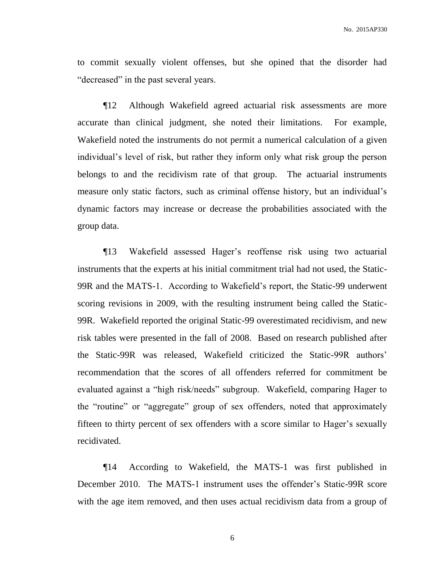to commit sexually violent offenses, but she opined that the disorder had "decreased" in the past several years.

¶12 Although Wakefield agreed actuarial risk assessments are more accurate than clinical judgment, she noted their limitations. For example, Wakefield noted the instruments do not permit a numerical calculation of a given individual's level of risk, but rather they inform only what risk group the person belongs to and the recidivism rate of that group. The actuarial instruments measure only static factors, such as criminal offense history, but an individual's dynamic factors may increase or decrease the probabilities associated with the group data.

¶13 Wakefield assessed Hager's reoffense risk using two actuarial instruments that the experts at his initial commitment trial had not used, the Static-99R and the MATS-1. According to Wakefield's report, the Static-99 underwent scoring revisions in 2009, with the resulting instrument being called the Static-99R. Wakefield reported the original Static-99 overestimated recidivism, and new risk tables were presented in the fall of 2008. Based on research published after the Static-99R was released, Wakefield criticized the Static-99R authors' recommendation that the scores of all offenders referred for commitment be evaluated against a "high risk/needs" subgroup. Wakefield, comparing Hager to the "routine" or "aggregate" group of sex offenders, noted that approximately fifteen to thirty percent of sex offenders with a score similar to Hager's sexually recidivated.

¶14 According to Wakefield, the MATS-1 was first published in December 2010. The MATS-1 instrument uses the offender's Static-99R score with the age item removed, and then uses actual recidivism data from a group of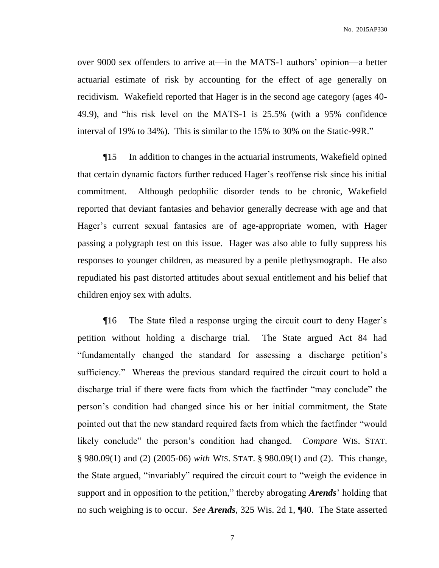over 9000 sex offenders to arrive at—in the MATS-1 authors' opinion—a better actuarial estimate of risk by accounting for the effect of age generally on recidivism. Wakefield reported that Hager is in the second age category (ages 40- 49.9), and "his risk level on the MATS-1 is 25.5% (with a 95% confidence interval of 19% to 34%). This is similar to the 15% to 30% on the Static-99R."

¶15 In addition to changes in the actuarial instruments, Wakefield opined that certain dynamic factors further reduced Hager's reoffense risk since his initial commitment. Although pedophilic disorder tends to be chronic, Wakefield reported that deviant fantasies and behavior generally decrease with age and that Hager's current sexual fantasies are of age-appropriate women, with Hager passing a polygraph test on this issue. Hager was also able to fully suppress his responses to younger children, as measured by a penile plethysmograph. He also repudiated his past distorted attitudes about sexual entitlement and his belief that children enjoy sex with adults.

¶16 The State filed a response urging the circuit court to deny Hager's petition without holding a discharge trial. The State argued Act 84 had "fundamentally changed the standard for assessing a discharge petition's sufficiency." Whereas the previous standard required the circuit court to hold a discharge trial if there were facts from which the factfinder "may conclude" the person's condition had changed since his or her initial commitment, the State pointed out that the new standard required facts from which the factfinder "would likely conclude" the person's condition had changed. *Compare* WIS. STAT. § 980.09(1) and (2) (2005-06) *with* WIS. STAT. § 980.09(1) and (2). This change, the State argued, "invariably" required the circuit court to "weigh the evidence in support and in opposition to the petition," thereby abrogating *Arends*' holding that no such weighing is to occur. *See Arends*, 325 Wis. 2d 1, ¶40. The State asserted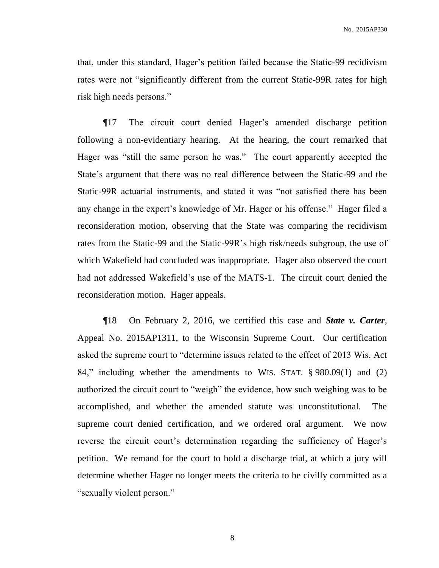that, under this standard, Hager's petition failed because the Static-99 recidivism rates were not "significantly different from the current Static-99R rates for high risk high needs persons."

¶17 The circuit court denied Hager's amended discharge petition following a non-evidentiary hearing. At the hearing, the court remarked that Hager was "still the same person he was." The court apparently accepted the State's argument that there was no real difference between the Static-99 and the Static-99R actuarial instruments, and stated it was "not satisfied there has been any change in the expert's knowledge of Mr. Hager or his offense." Hager filed a reconsideration motion, observing that the State was comparing the recidivism rates from the Static-99 and the Static-99R's high risk/needs subgroup, the use of which Wakefield had concluded was inappropriate. Hager also observed the court had not addressed Wakefield's use of the MATS-1. The circuit court denied the reconsideration motion. Hager appeals.

¶18 On February 2, 2016, we certified this case and *State v. Carter*, Appeal No. 2015AP1311, to the Wisconsin Supreme Court. Our certification asked the supreme court to "determine issues related to the effect of 2013 Wis. Act 84," including whether the amendments to WIS. STAT. § 980.09(1) and (2) authorized the circuit court to "weigh" the evidence, how such weighing was to be accomplished, and whether the amended statute was unconstitutional. The supreme court denied certification, and we ordered oral argument. We now reverse the circuit court's determination regarding the sufficiency of Hager's petition. We remand for the court to hold a discharge trial, at which a jury will determine whether Hager no longer meets the criteria to be civilly committed as a "sexually violent person."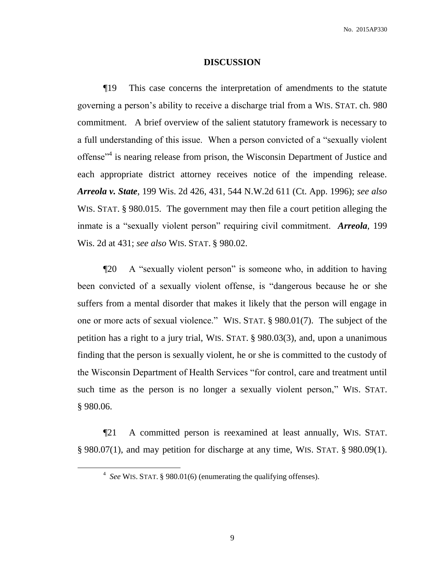#### **DISCUSSION**

¶19 This case concerns the interpretation of amendments to the statute governing a person's ability to receive a discharge trial from a WIS. STAT. ch. 980 commitment. A brief overview of the salient statutory framework is necessary to a full understanding of this issue. When a person convicted of a "sexually violent offense<sup>"4</sup> is nearing release from prison, the Wisconsin Department of Justice and each appropriate district attorney receives notice of the impending release. *Arreola v. State*, 199 Wis. 2d 426, 431, 544 N.W.2d 611 (Ct. App. 1996); *see also*  WIS. STAT. § 980.015. The government may then file a court petition alleging the inmate is a "sexually violent person" requiring civil commitment. *Arreola*, 199 Wis. 2d at 431; *see also* WIS. STAT. § 980.02.

¶20 A "sexually violent person" is someone who, in addition to having been convicted of a sexually violent offense, is "dangerous because he or she suffers from a mental disorder that makes it likely that the person will engage in one or more acts of sexual violence." WIS. STAT. § 980.01(7). The subject of the petition has a right to a jury trial, WIS. STAT. § 980.03(3), and, upon a unanimous finding that the person is sexually violent, he or she is committed to the custody of the Wisconsin Department of Health Services "for control, care and treatment until such time as the person is no longer a sexually violent person," WIS. STAT. § 980.06.

¶21 A committed person is reexamined at least annually, WIS. STAT. § 980.07(1), and may petition for discharge at any time, WIS. STAT. § 980.09(1).

<sup>4</sup> *See* WIS. STAT. § 980.01(6) (enumerating the qualifying offenses).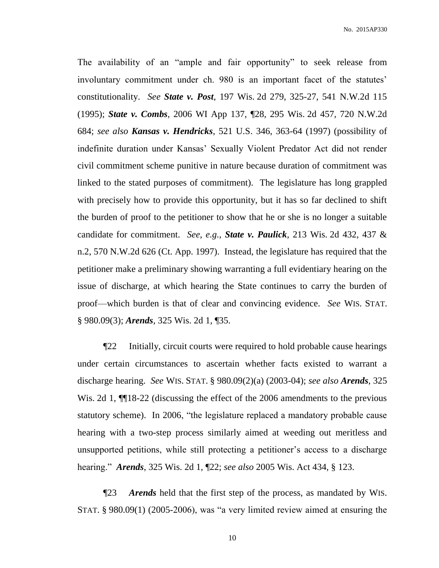The availability of an "ample and fair opportunity" to seek release from involuntary commitment under ch. 980 is an important facet of the statutes' constitutionality. *See State v. Post*, 197 Wis. 2d 279, 325-27, 541 N.W.2d 115 (1995); *State v. Combs*, 2006 WI App 137, ¶28, 295 Wis. 2d 457, 720 N.W.2d 684; *see also Kansas v. Hendricks*, 521 U.S. 346, 363-64 (1997) (possibility of indefinite duration under Kansas' Sexually Violent Predator Act did not render civil commitment scheme punitive in nature because duration of commitment was linked to the stated purposes of commitment). The legislature has long grappled with precisely how to provide this opportunity, but it has so far declined to shift the burden of proof to the petitioner to show that he or she is no longer a suitable candidate for commitment. *See, e.g.*, *State v. Paulick*, 213 Wis. 2d 432, 437 & n.2, 570 N.W.2d 626 (Ct. App. 1997). Instead, the legislature has required that the petitioner make a preliminary showing warranting a full evidentiary hearing on the issue of discharge, at which hearing the State continues to carry the burden of proof—which burden is that of clear and convincing evidence. *See* WIS. STAT. § 980.09(3); *Arends*, 325 Wis. 2d 1, ¶35.

¶22 Initially, circuit courts were required to hold probable cause hearings under certain circumstances to ascertain whether facts existed to warrant a discharge hearing. *See* WIS. STAT. § 980.09(2)(a) (2003-04); *see also Arends*, 325 Wis. 2d 1,  $\P$ [18-22 (discussing the effect of the 2006 amendments to the previous statutory scheme). In 2006, "the legislature replaced a mandatory probable cause hearing with a two-step process similarly aimed at weeding out meritless and unsupported petitions, while still protecting a petitioner's access to a discharge hearing." *Arends*, 325 Wis. 2d 1, ¶22; *see also* 2005 Wis. Act 434, § 123.

¶23 *Arends* held that the first step of the process, as mandated by WIS. STAT. § 980.09(1) (2005-2006), was "a very limited review aimed at ensuring the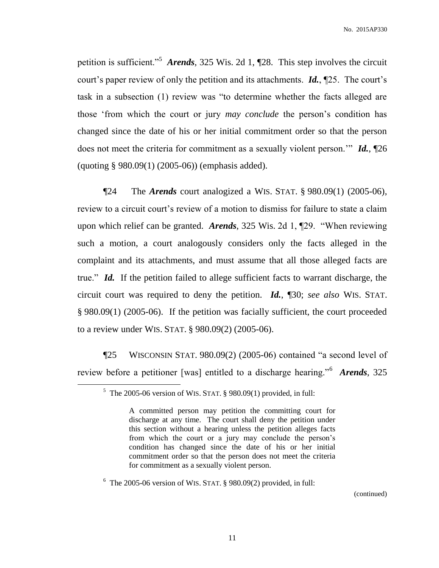petition is sufficient.<sup>5</sup> *Arends*, 325 Wis. 2d 1, 128. This step involves the circuit court's paper review of only the petition and its attachments. *Id.*, ¶25. The court's task in a subsection (1) review was "to determine whether the facts alleged are those 'from which the court or jury *may conclude* the person's condition has changed since the date of his or her initial commitment order so that the person does not meet the criteria for commitment as a sexually violent person.'" *Id.*, ¶26 (quoting § 980.09(1) (2005-06)) (emphasis added).

¶24 The *Arends* court analogized a WIS. STAT. § 980.09(1) (2005-06), review to a circuit court's review of a motion to dismiss for failure to state a claim upon which relief can be granted. *Arends*, 325 Wis. 2d 1, ¶29. "When reviewing such a motion, a court analogously considers only the facts alleged in the complaint and its attachments, and must assume that all those alleged facts are true." *Id.* If the petition failed to allege sufficient facts to warrant discharge, the circuit court was required to deny the petition. *Id.*, ¶30; *see also* WIS. STAT. § 980.09(1) (2005-06). If the petition was facially sufficient, the court proceeded to a review under WIS. STAT. § 980.09(2) (2005-06).

¶25 WISCONSIN STAT. 980.09(2) (2005-06) contained "a second level of review before a petitioner [was] entitled to a discharge hearing."<sup>6</sup> *Arends*, 325

 $\overline{a}$ 

 $6$  The 2005-06 version of WIS. STAT. § 980.09(2) provided, in full:

(continued)

 $5$  The 2005-06 version of WIS. STAT. § 980.09(1) provided, in full:

A committed person may petition the committing court for discharge at any time. The court shall deny the petition under this section without a hearing unless the petition alleges facts from which the court or a jury may conclude the person's condition has changed since the date of his or her initial commitment order so that the person does not meet the criteria for commitment as a sexually violent person.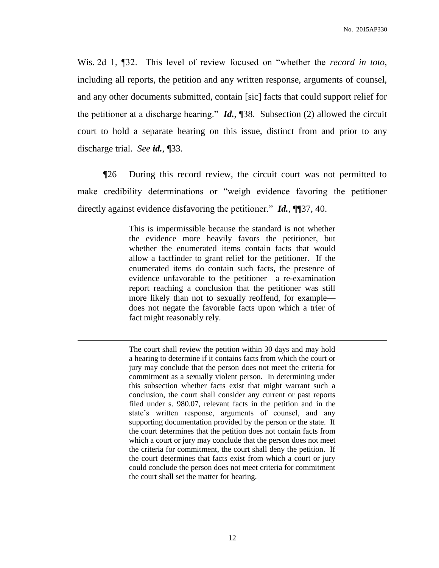Wis. 2d 1, ¶32. This level of review focused on "whether the *record in toto*, including all reports, the petition and any written response, arguments of counsel, and any other documents submitted, contain [sic] facts that could support relief for the petitioner at a discharge hearing." *Id.*, ¶38. Subsection (2) allowed the circuit court to hold a separate hearing on this issue, distinct from and prior to any discharge trial. *See id.*, ¶33.

¶26 During this record review, the circuit court was not permitted to make credibility determinations or "weigh evidence favoring the petitioner directly against evidence disfavoring the petitioner." *Id.*, ¶¶37, 40.

> This is impermissible because the standard is not whether the evidence more heavily favors the petitioner, but whether the enumerated items contain facts that would allow a factfinder to grant relief for the petitioner. If the enumerated items do contain such facts, the presence of evidence unfavorable to the petitioner—a re-examination report reaching a conclusion that the petitioner was still more likely than not to sexually reoffend, for example does not negate the favorable facts upon which a trier of fact might reasonably rely.

 $\overline{a}$ 

The court shall review the petition within 30 days and may hold a hearing to determine if it contains facts from which the court or jury may conclude that the person does not meet the criteria for commitment as a sexually violent person. In determining under this subsection whether facts exist that might warrant such a conclusion, the court shall consider any current or past reports filed under s. 980.07, relevant facts in the petition and in the state's written response, arguments of counsel, and any supporting documentation provided by the person or the state. If the court determines that the petition does not contain facts from which a court or jury may conclude that the person does not meet the criteria for commitment, the court shall deny the petition. If the court determines that facts exist from which a court or jury could conclude the person does not meet criteria for commitment the court shall set the matter for hearing.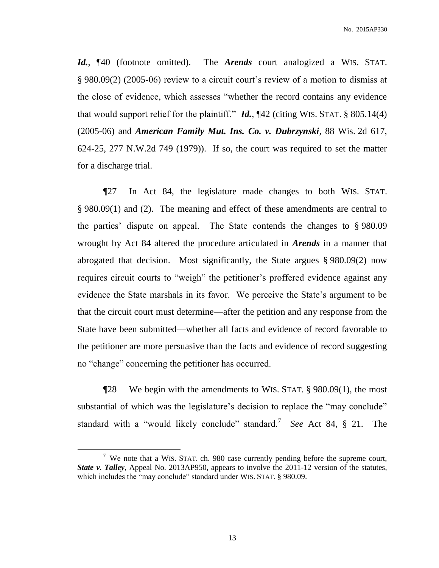*Id.*, ¶40 (footnote omitted). The *Arends* court analogized a WIS. STAT. § 980.09(2) (2005-06) review to a circuit court's review of a motion to dismiss at the close of evidence, which assesses "whether the record contains any evidence that would support relief for the plaintiff." *Id.*, ¶42 (citing WIS. STAT. § 805.14(4) (2005-06) and *American Family Mut. Ins. Co. v. Dubrzynski*, 88 Wis. 2d 617, 624-25, 277 N.W.2d 749 (1979)). If so, the court was required to set the matter for a discharge trial.

¶27 In Act 84, the legislature made changes to both WIS. STAT. § 980.09(1) and (2). The meaning and effect of these amendments are central to the parties' dispute on appeal. The State contends the changes to § 980.09 wrought by Act 84 altered the procedure articulated in *Arends* in a manner that abrogated that decision. Most significantly, the State argues § 980.09(2) now requires circuit courts to "weigh" the petitioner's proffered evidence against any evidence the State marshals in its favor. We perceive the State's argument to be that the circuit court must determine—after the petition and any response from the State have been submitted—whether all facts and evidence of record favorable to the petitioner are more persuasive than the facts and evidence of record suggesting no "change" concerning the petitioner has occurred.

¶28 We begin with the amendments to WIS. STAT. § 980.09(1), the most substantial of which was the legislature's decision to replace the "may conclude" standard with a "would likely conclude" standard.<sup>7</sup> *See* Act 84, § 21. The

<sup>&</sup>lt;sup>7</sup> We note that a WIS. STAT. ch. 980 case currently pending before the supreme court, *State v. Talley*, Appeal No. 2013AP950, appears to involve the 2011-12 version of the statutes, which includes the "may conclude" standard under WIS. STAT. § 980.09.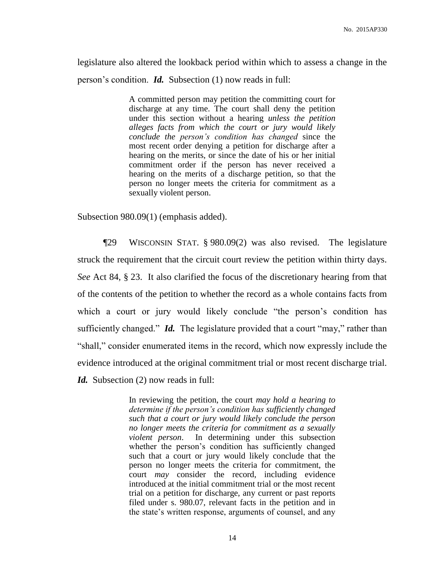legislature also altered the lookback period within which to assess a change in the person's condition. *Id.* Subsection (1) now reads in full:

> A committed person may petition the committing court for discharge at any time. The court shall deny the petition under this section without a hearing *unless the petition alleges facts from which the court or jury would likely conclude the person's condition has changed* since the most recent order denying a petition for discharge after a hearing on the merits, or since the date of his or her initial commitment order if the person has never received a hearing on the merits of a discharge petition, so that the person no longer meets the criteria for commitment as a sexually violent person.

Subsection 980.09(1) (emphasis added).

¶29 WISCONSIN STAT. § 980.09(2) was also revised. The legislature struck the requirement that the circuit court review the petition within thirty days. *See* Act 84, § 23. It also clarified the focus of the discretionary hearing from that of the contents of the petition to whether the record as a whole contains facts from which a court or jury would likely conclude "the person's condition has sufficiently changed." *Id.* The legislature provided that a court "may," rather than "shall," consider enumerated items in the record, which now expressly include the evidence introduced at the original commitment trial or most recent discharge trial.

*Id.* Subsection (2) now reads in full:

In reviewing the petition, the court *may hold a hearing to determine if the person's condition has sufficiently changed such that a court or jury would likely conclude the person no longer meets the criteria for commitment as a sexually violent person*. In determining under this subsection whether the person's condition has sufficiently changed such that a court or jury would likely conclude that the person no longer meets the criteria for commitment, the court *may* consider the record, including evidence introduced at the initial commitment trial or the most recent trial on a petition for discharge, any current or past reports filed under s. 980.07, relevant facts in the petition and in the state's written response, arguments of counsel, and any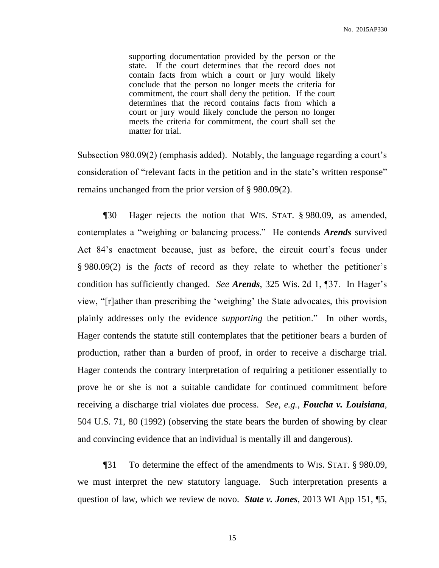supporting documentation provided by the person or the state. If the court determines that the record does not contain facts from which a court or jury would likely conclude that the person no longer meets the criteria for commitment, the court shall deny the petition. If the court determines that the record contains facts from which a court or jury would likely conclude the person no longer meets the criteria for commitment, the court shall set the matter for trial.

Subsection 980.09(2) (emphasis added). Notably, the language regarding a court's consideration of "relevant facts in the petition and in the state's written response" remains unchanged from the prior version of § 980.09(2).

¶30 Hager rejects the notion that WIS. STAT. § 980.09, as amended, contemplates a "weighing or balancing process." He contends *Arends* survived Act 84's enactment because, just as before, the circuit court's focus under § 980.09(2) is the *facts* of record as they relate to whether the petitioner's condition has sufficiently changed. *See Arends*, 325 Wis. 2d 1, ¶37. In Hager's view, "[r]ather than prescribing the 'weighing' the State advocates, this provision plainly addresses only the evidence *supporting* the petition." In other words, Hager contends the statute still contemplates that the petitioner bears a burden of production, rather than a burden of proof, in order to receive a discharge trial. Hager contends the contrary interpretation of requiring a petitioner essentially to prove he or she is not a suitable candidate for continued commitment before receiving a discharge trial violates due process. *See, e.g.*, *Foucha v. Louisiana*, 504 U.S. 71, 80 (1992) (observing the state bears the burden of showing by clear and convincing evidence that an individual is mentally ill and dangerous).

¶31 To determine the effect of the amendments to WIS. STAT. § 980.09, we must interpret the new statutory language. Such interpretation presents a question of law, which we review de novo. *State v. Jones*, 2013 WI App 151, ¶5,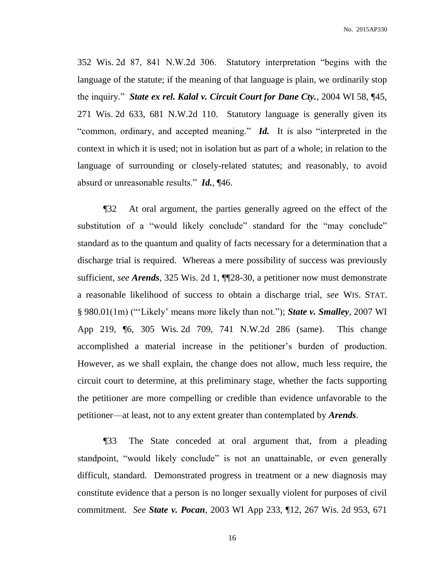352 Wis. 2d 87, 841 N.W.2d 306. Statutory interpretation "begins with the language of the statute; if the meaning of that language is plain, we ordinarily stop the inquiry." *State ex rel. Kalal v. Circuit Court for Dane Cty.*, 2004 WI 58, ¶45, 271 Wis. 2d 633, 681 N.W.2d 110. Statutory language is generally given its "common, ordinary, and accepted meaning." *Id.* It is also "interpreted in the context in which it is used; not in isolation but as part of a whole; in relation to the language of surrounding or closely-related statutes; and reasonably, to avoid absurd or unreasonable results." *Id.*, ¶46.

¶32 At oral argument, the parties generally agreed on the effect of the substitution of a "would likely conclude" standard for the "may conclude" standard as to the quantum and quality of facts necessary for a determination that a discharge trial is required. Whereas a mere possibility of success was previously sufficient, *see Arends*, 325 Wis. 2d 1, ¶¶28-30, a petitioner now must demonstrate a reasonable likelihood of success to obtain a discharge trial, *see* WIS. STAT. § 980.01(1m) ("'Likely' means more likely than not."); *State v. Smalley*, 2007 WI App 219, ¶6, 305 Wis. 2d 709, 741 N.W.2d 286 (same). This change accomplished a material increase in the petitioner's burden of production. However, as we shall explain, the change does not allow, much less require, the circuit court to determine, at this preliminary stage, whether the facts supporting the petitioner are more compelling or credible than evidence unfavorable to the petitioner—at least, not to any extent greater than contemplated by *Arends*.

¶33 The State conceded at oral argument that, from a pleading standpoint, "would likely conclude" is not an unattainable, or even generally difficult, standard. Demonstrated progress in treatment or a new diagnosis may constitute evidence that a person is no longer sexually violent for purposes of civil commitment. *See State v. Pocan*, 2003 WI App 233, ¶12, 267 Wis. 2d 953, 671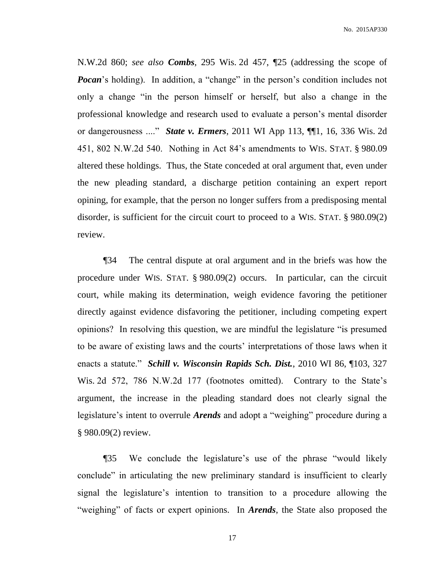N.W.2d 860; *see also Combs*, 295 Wis. 2d 457, ¶25 (addressing the scope of *Pocan*'s holding). In addition, a "change" in the person's condition includes not only a change "in the person himself or herself, but also a change in the professional knowledge and research used to evaluate a person's mental disorder or dangerousness ...." *State v. Ermers*, 2011 WI App 113, ¶¶1, 16, 336 Wis. 2d 451, 802 N.W.2d 540. Nothing in Act 84's amendments to WIS. STAT. § 980.09 altered these holdings. Thus, the State conceded at oral argument that, even under the new pleading standard, a discharge petition containing an expert report opining, for example, that the person no longer suffers from a predisposing mental disorder, is sufficient for the circuit court to proceed to a WIS. STAT. § 980.09(2) review.

¶34 The central dispute at oral argument and in the briefs was how the procedure under WIS. STAT. § 980.09(2) occurs. In particular, can the circuit court, while making its determination, weigh evidence favoring the petitioner directly against evidence disfavoring the petitioner, including competing expert opinions? In resolving this question, we are mindful the legislature "is presumed to be aware of existing laws and the courts' interpretations of those laws when it enacts a statute." *Schill v. Wisconsin Rapids Sch. Dist.*, 2010 WI 86, ¶103, 327 Wis. 2d 572, 786 N.W.2d 177 (footnotes omitted). Contrary to the State's argument, the increase in the pleading standard does not clearly signal the legislature's intent to overrule *Arends* and adopt a "weighing" procedure during a § 980.09(2) review.

¶35 We conclude the legislature's use of the phrase "would likely conclude" in articulating the new preliminary standard is insufficient to clearly signal the legislature's intention to transition to a procedure allowing the "weighing" of facts or expert opinions. In *Arends*, the State also proposed the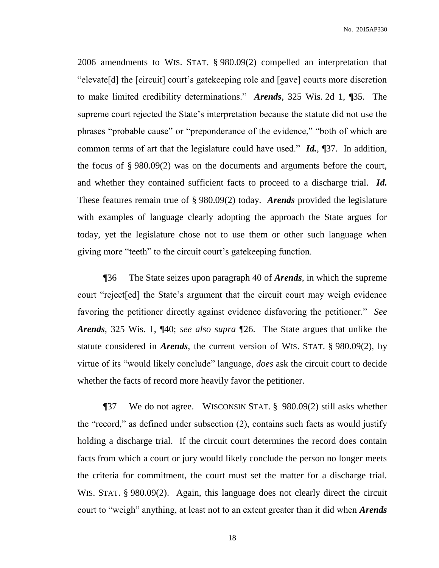2006 amendments to WIS. STAT. § 980.09(2) compelled an interpretation that "elevate[d] the [circuit] court's gatekeeping role and [gave] courts more discretion to make limited credibility determinations." *Arends*, 325 Wis. 2d 1, ¶35. The supreme court rejected the State's interpretation because the statute did not use the phrases "probable cause" or "preponderance of the evidence," "both of which are common terms of art that the legislature could have used." *Id.*, ¶37. In addition, the focus of § 980.09(2) was on the documents and arguments before the court, and whether they contained sufficient facts to proceed to a discharge trial. *Id.* These features remain true of § 980.09(2) today. *Arends* provided the legislature with examples of language clearly adopting the approach the State argues for today, yet the legislature chose not to use them or other such language when giving more "teeth" to the circuit court's gatekeeping function.

¶36 The State seizes upon paragraph 40 of *Arends*, in which the supreme court "reject[ed] the State's argument that the circuit court may weigh evidence favoring the petitioner directly against evidence disfavoring the petitioner." *See Arends*, 325 Wis. 1, ¶40; *see also supra* ¶26. The State argues that unlike the statute considered in *Arends*, the current version of WIS. STAT. § 980.09(2), by virtue of its "would likely conclude" language, *does* ask the circuit court to decide whether the facts of record more heavily favor the petitioner.

¶37 We do not agree. WISCONSIN STAT. § 980.09(2) still asks whether the "record," as defined under subsection (2), contains such facts as would justify holding a discharge trial. If the circuit court determines the record does contain facts from which a court or jury would likely conclude the person no longer meets the criteria for commitment, the court must set the matter for a discharge trial. WIS. STAT. § 980.09(2). Again, this language does not clearly direct the circuit court to "weigh" anything, at least not to an extent greater than it did when *Arends*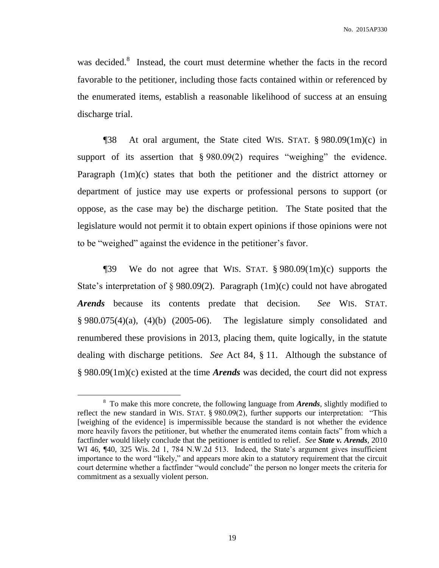was decided.<sup>8</sup> Instead, the court must determine whether the facts in the record favorable to the petitioner, including those facts contained within or referenced by the enumerated items, establish a reasonable likelihood of success at an ensuing discharge trial.

¶38 At oral argument, the State cited WIS. STAT. § 980.09(1m)(c) in support of its assertion that § 980.09(2) requires "weighing" the evidence. Paragraph (1m)(c) states that both the petitioner and the district attorney or department of justice may use experts or professional persons to support (or oppose, as the case may be) the discharge petition. The State posited that the legislature would not permit it to obtain expert opinions if those opinions were not to be "weighed" against the evidence in the petitioner's favor.

¶39 We do not agree that WIS. STAT. § 980.09(1m)(c) supports the State's interpretation of § 980.09(2). Paragraph (1m)(c) could not have abrogated *Arends* because its contents predate that decision. *See* WIS. STAT.  $§ 980.075(4)(a)$ , (4)(b) (2005-06). The legislature simply consolidated and renumbered these provisions in 2013, placing them, quite logically, in the statute dealing with discharge petitions. *See* Act 84, § 11. Although the substance of § 980.09(1m)(c) existed at the time *Arends* was decided, the court did not express

<sup>&</sup>lt;sup>8</sup> To make this more concrete, the following language from *Arends*, slightly modified to reflect the new standard in WIS. STAT. § 980.09(2), further supports our interpretation: "This [weighing of the evidence] is impermissible because the standard is not whether the evidence more heavily favors the petitioner, but whether the enumerated items contain facts" from which a factfinder would likely conclude that the petitioner is entitled to relief. *See State v. Arends*, 2010 WI 46, ¶40, 325 Wis. 2d 1, 784 N.W.2d 513. Indeed, the State's argument gives insufficient importance to the word "likely," and appears more akin to a statutory requirement that the circuit court determine whether a factfinder "would conclude" the person no longer meets the criteria for commitment as a sexually violent person.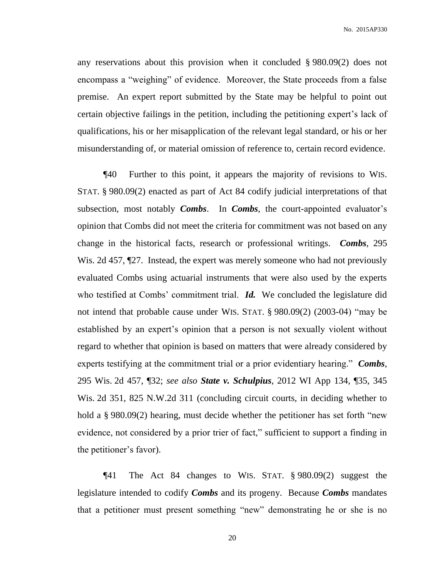any reservations about this provision when it concluded § 980.09(2) does not encompass a "weighing" of evidence. Moreover, the State proceeds from a false premise. An expert report submitted by the State may be helpful to point out certain objective failings in the petition, including the petitioning expert's lack of qualifications, his or her misapplication of the relevant legal standard, or his or her misunderstanding of, or material omission of reference to, certain record evidence.

¶40 Further to this point, it appears the majority of revisions to WIS. STAT. § 980.09(2) enacted as part of Act 84 codify judicial interpretations of that subsection, most notably *Combs*. In *Combs*, the court-appointed evaluator's opinion that Combs did not meet the criteria for commitment was not based on any change in the historical facts, research or professional writings. *Combs*, 295 Wis. 2d 457,  $\mathbb{Z}$ . Instead, the expert was merely someone who had not previously evaluated Combs using actuarial instruments that were also used by the experts who testified at Combs' commitment trial. *Id.* We concluded the legislature did not intend that probable cause under WIS. STAT. § 980.09(2) (2003-04) "may be established by an expert's opinion that a person is not sexually violent without regard to whether that opinion is based on matters that were already considered by experts testifying at the commitment trial or a prior evidentiary hearing." *Combs*, 295 Wis. 2d 457, ¶32; *see also State v. Schulpius*, 2012 WI App 134, ¶35, 345 Wis. 2d 351, 825 N.W.2d 311 (concluding circuit courts, in deciding whether to hold a § 980.09(2) hearing, must decide whether the petitioner has set forth "new evidence, not considered by a prior trier of fact," sufficient to support a finding in the petitioner's favor).

¶41 The Act 84 changes to WIS. STAT. § 980.09(2) suggest the legislature intended to codify *Combs* and its progeny. Because *Combs* mandates that a petitioner must present something "new" demonstrating he or she is no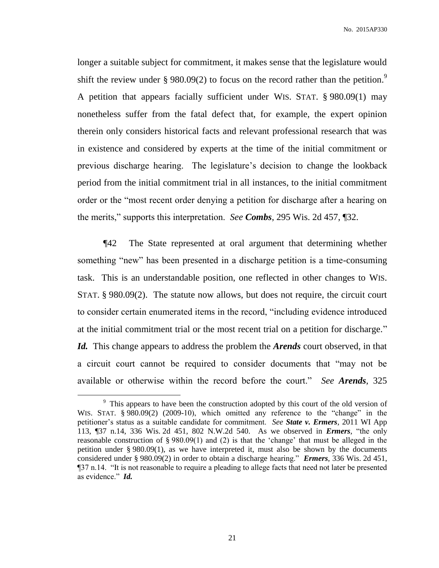longer a suitable subject for commitment, it makes sense that the legislature would shift the review under § 980.09(2) to focus on the record rather than the petition.<sup>9</sup> A petition that appears facially sufficient under WIS. STAT. § 980.09(1) may nonetheless suffer from the fatal defect that, for example, the expert opinion therein only considers historical facts and relevant professional research that was in existence and considered by experts at the time of the initial commitment or previous discharge hearing. The legislature's decision to change the lookback period from the initial commitment trial in all instances, to the initial commitment order or the "most recent order denying a petition for discharge after a hearing on the merits," supports this interpretation. *See Combs*, 295 Wis. 2d 457, ¶32.

¶42 The State represented at oral argument that determining whether something "new" has been presented in a discharge petition is a time-consuming task. This is an understandable position, one reflected in other changes to WIS. STAT. § 980.09(2). The statute now allows, but does not require, the circuit court to consider certain enumerated items in the record, "including evidence introduced at the initial commitment trial or the most recent trial on a petition for discharge." *Id.* This change appears to address the problem the *Arends* court observed, in that a circuit court cannot be required to consider documents that "may not be available or otherwise within the record before the court." *See Arends*, 325

<sup>&</sup>lt;sup>9</sup> This appears to have been the construction adopted by this court of the old version of WIS. STAT. § 980.09(2) (2009-10), which omitted any reference to the "change" in the petitioner's status as a suitable candidate for commitment. *See State v. Ermers*, 2011 WI App 113, ¶37 n.14, 336 Wis. 2d 451, 802 N.W.2d 540. As we observed in *Ermers*, "the only reasonable construction of § 980.09(1) and (2) is that the 'change' that must be alleged in the petition under § 980.09(1), as we have interpreted it, must also be shown by the documents considered under § 980.09(2) in order to obtain a discharge hearing." *Ermers*, 336 Wis. 2d 451, ¶37 n.14. "It is not reasonable to require a pleading to allege facts that need not later be presented as evidence." *Id.*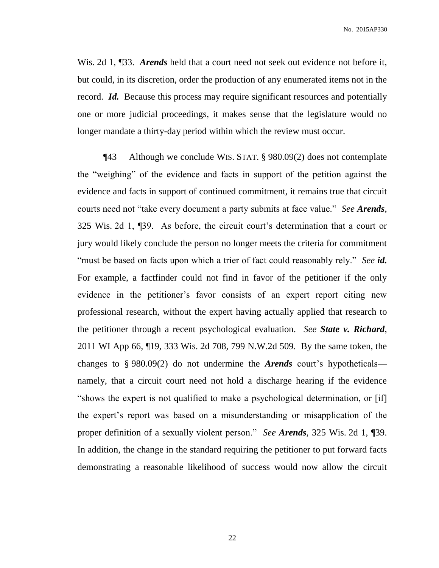Wis. 2d 1, ¶33. *Arends* held that a court need not seek out evidence not before it, but could, in its discretion, order the production of any enumerated items not in the record. *Id.* Because this process may require significant resources and potentially one or more judicial proceedings, it makes sense that the legislature would no longer mandate a thirty-day period within which the review must occur.

¶43 Although we conclude WIS. STAT. § 980.09(2) does not contemplate the "weighing" of the evidence and facts in support of the petition against the evidence and facts in support of continued commitment, it remains true that circuit courts need not "take every document a party submits at face value." *See Arends*, 325 Wis. 2d 1, ¶39. As before, the circuit court's determination that a court or jury would likely conclude the person no longer meets the criteria for commitment "must be based on facts upon which a trier of fact could reasonably rely." *See id.* For example, a factfinder could not find in favor of the petitioner if the only evidence in the petitioner's favor consists of an expert report citing new professional research, without the expert having actually applied that research to the petitioner through a recent psychological evaluation. *See State v. Richard*, 2011 WI App 66, ¶19, 333 Wis. 2d 708, 799 N.W.2d 509. By the same token, the changes to § 980.09(2) do not undermine the *Arends* court's hypotheticals namely, that a circuit court need not hold a discharge hearing if the evidence "shows the expert is not qualified to make a psychological determination, or [if] the expert's report was based on a misunderstanding or misapplication of the proper definition of a sexually violent person." *See Arends*, 325 Wis. 2d 1, ¶39. In addition, the change in the standard requiring the petitioner to put forward facts demonstrating a reasonable likelihood of success would now allow the circuit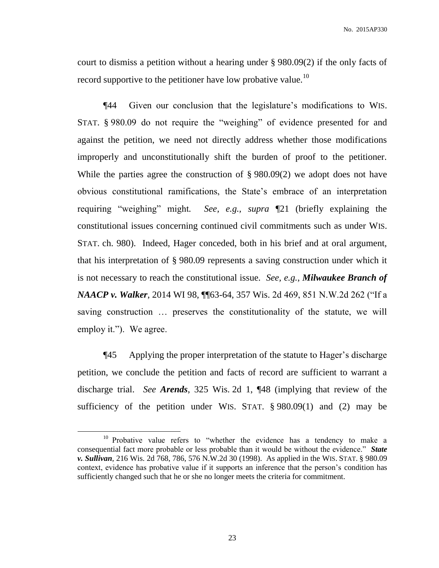court to dismiss a petition without a hearing under § 980.09(2) if the only facts of record supportive to the petitioner have low probative value.<sup>10</sup>

¶44 Given our conclusion that the legislature's modifications to WIS. STAT. § 980.09 do not require the "weighing" of evidence presented for and against the petition, we need not directly address whether those modifications improperly and unconstitutionally shift the burden of proof to the petitioner. While the parties agree the construction of § 980.09(2) we adopt does not have obvious constitutional ramifications, the State's embrace of an interpretation requiring "weighing" might*. See, e.g., supra* ¶21 (briefly explaining the constitutional issues concerning continued civil commitments such as under WIS. STAT. ch. 980). Indeed, Hager conceded, both in his brief and at oral argument, that his interpretation of § 980.09 represents a saving construction under which it is not necessary to reach the constitutional issue. *See, e.g.*, *Milwaukee Branch of NAACP v. Walker*, 2014 WI 98, ¶¶63-64, 357 Wis. 2d 469, 851 N.W.2d 262 ("If a saving construction … preserves the constitutionality of the statute, we will employ it."). We agree.

¶45 Applying the proper interpretation of the statute to Hager's discharge petition, we conclude the petition and facts of record are sufficient to warrant a discharge trial. *See Arends*, 325 Wis. 2d 1, ¶48 (implying that review of the sufficiency of the petition under WIS. STAT. § 980.09(1) and (2) may be

<sup>&</sup>lt;sup>10</sup> Probative value refers to "whether the evidence has a tendency to make a consequential fact more probable or less probable than it would be without the evidence." *State v. Sullivan*, 216 Wis. 2d 768, 786, 576 N.W.2d 30 (1998). As applied in the WIS. STAT. § 980.09 context, evidence has probative value if it supports an inference that the person's condition has sufficiently changed such that he or she no longer meets the criteria for commitment.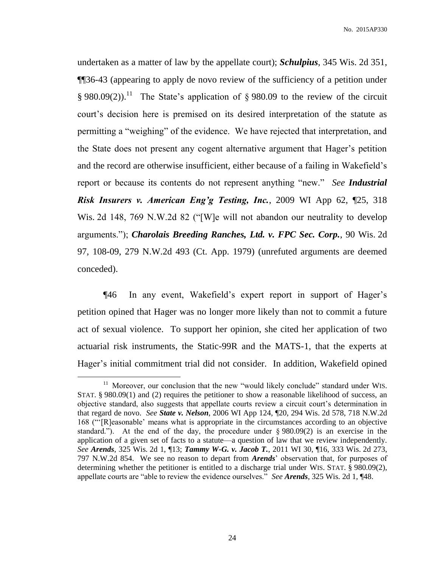undertaken as a matter of law by the appellate court); *Schulpius*, 345 Wis. 2d 351, ¶¶36-43 (appearing to apply de novo review of the sufficiency of a petition under § 980.09(2)).<sup>11</sup> The State's application of § 980.09 to the review of the circuit court's decision here is premised on its desired interpretation of the statute as permitting a "weighing" of the evidence. We have rejected that interpretation, and the State does not present any cogent alternative argument that Hager's petition and the record are otherwise insufficient, either because of a failing in Wakefield's report or because its contents do not represent anything "new." *See Industrial Risk Insurers v. American Eng'g Testing, Inc.*, 2009 WI App 62, ¶25, 318 Wis. 2d 148, 769 N.W.2d 82 ("[W]e will not abandon our neutrality to develop arguments."); *Charolais Breeding Ranches, Ltd. v. FPC Sec. Corp.*, 90 Wis. 2d 97, 108-09, 279 N.W.2d 493 (Ct. App. 1979) (unrefuted arguments are deemed conceded).

¶46 In any event, Wakefield's expert report in support of Hager's petition opined that Hager was no longer more likely than not to commit a future act of sexual violence. To support her opinion, she cited her application of two actuarial risk instruments, the Static-99R and the MATS-1, that the experts at Hager's initial commitment trial did not consider. In addition, Wakefield opined

<sup>&</sup>lt;sup>11</sup> Moreover, our conclusion that the new "would likely conclude" standard under WIS. STAT. § 980.09(1) and (2) requires the petitioner to show a reasonable likelihood of success, an objective standard, also suggests that appellate courts review a circuit court's determination in that regard de novo. *See State v. Nelson*, 2006 WI App 124, ¶20, 294 Wis. 2d 578, 718 N.W.2d 168 ("'[R]easonable' means what is appropriate in the circumstances according to an objective standard."). At the end of the day, the procedure under  $\S 980.09(2)$  is an exercise in the application of a given set of facts to a statute—a question of law that we review independently. *See Arends*, 325 Wis. 2d 1, ¶13; *Tammy W-G. v. Jacob T.*, 2011 WI 30, ¶16, 333 Wis. 2d 273, 797 N.W.2d 854. We see no reason to depart from *Arends*' observation that, for purposes of determining whether the petitioner is entitled to a discharge trial under WIS. STAT. § 980.09(2), appellate courts are "able to review the evidence ourselves." *See Arends*, 325 Wis. 2d 1, ¶48.